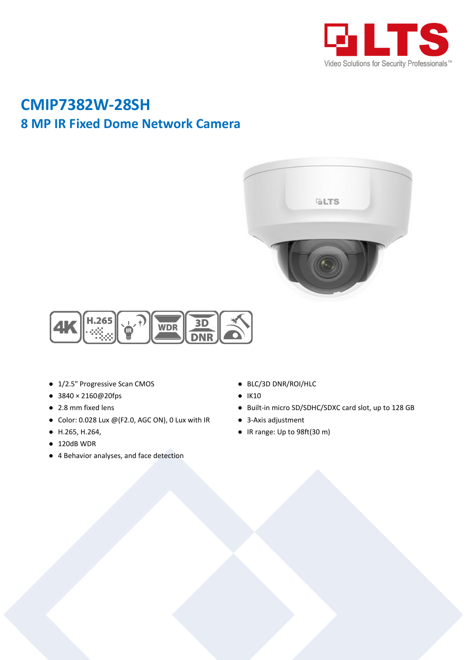

## **CMIP7382W-28SH 8 MP IR Fixed Dome Network Camera**





- 1/2.5" Progressive Scan CMOS
- 3840 × 2160@20fps
- 2.8 mm fixed lens
- Color: 0.028 Lux @(F2.0, AGC ON), 0 Lux with IR
- H.265, H.264,
- $\bullet$  120dB WDR
- 4 Behavior analyses, and face detection
- BLC/3D DNR/ROI/HLC
- IK10
- Built-in micro SD/SDHC/SDXC card slot, up to 128 GB
- 3-Axis adjustment
- IR range: Up to 98ft(30 m)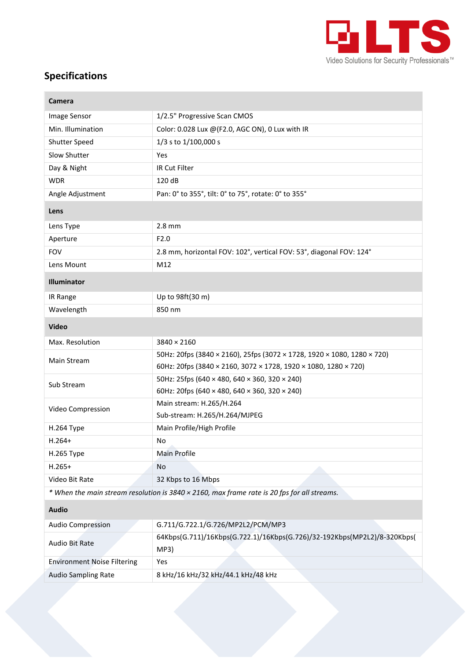

## **Specifications**

| Camera                             |                                                                                             |
|------------------------------------|---------------------------------------------------------------------------------------------|
| Image Sensor                       | 1/2.5" Progressive Scan CMOS                                                                |
| Min. Illumination                  | Color: 0.028 Lux @(F2.0, AGC ON), 0 Lux with IR                                             |
| Shutter Speed                      | 1/3 s to 1/100,000 s                                                                        |
| Slow Shutter                       | Yes                                                                                         |
| Day & Night                        | IR Cut Filter                                                                               |
| <b>WDR</b>                         | 120 dB                                                                                      |
| Angle Adjustment                   | Pan: 0° to 355°, tilt: 0° to 75°, rotate: 0° to 355°                                        |
| Lens                               |                                                                                             |
| Lens Type                          | $2.8$ mm                                                                                    |
| Aperture                           | F2.0                                                                                        |
| <b>FOV</b>                         | 2.8 mm, horizontal FOV: 102°, vertical FOV: 53°, diagonal FOV: 124°                         |
| Lens Mount                         | M12                                                                                         |
| <b>Illuminator</b>                 |                                                                                             |
| IR Range                           | Up to 98ft(30 m)                                                                            |
| Wavelength                         | 850 nm                                                                                      |
| <b>Video</b>                       |                                                                                             |
| Max. Resolution                    | $3840 \times 2160$                                                                          |
| Main Stream                        | 50Hz: 20fps (3840 × 2160), 25fps (3072 × 1728, 1920 × 1080, 1280 × 720)                     |
|                                    | 60Hz: 20fps (3840 × 2160, 3072 × 1728, 1920 × 1080, 1280 × 720)                             |
| Sub Stream                         | 50Hz: 25fps (640 × 480, 640 × 360, 320 × 240)                                               |
|                                    | 60Hz: 20fps (640 × 480, 640 × 360, 320 × 240)                                               |
| Video Compression                  | Main stream: H.265/H.264                                                                    |
|                                    | Sub-stream: H.265/H.264/MJPEG                                                               |
| H.264 Type                         | Main Profile/High Profile                                                                   |
| $H.264+$                           | No                                                                                          |
| H.265 Type                         | Main Profile                                                                                |
| $H.265+$                           | No                                                                                          |
| Video Bit Rate                     | 32 Kbps to 16 Mbps                                                                          |
|                                    | * When the main stream resolution is 3840 × 2160, max frame rate is 20 fps for all streams. |
| <b>Audio</b>                       |                                                                                             |
| <b>Audio Compression</b>           | G.711/G.722.1/G.726/MP2L2/PCM/MP3                                                           |
| Audio Bit Rate                     | 64Kbps(G.711)/16Kbps(G.722.1)/16Kbps(G.726)/32-192Kbps(MP2L2)/8-320Kbps(<br>MP3)            |
| <b>Environment Noise Filtering</b> | Yes                                                                                         |
| <b>Audio Sampling Rate</b>         | 8 kHz/16 kHz/32 kHz/44.1 kHz/48 kHz                                                         |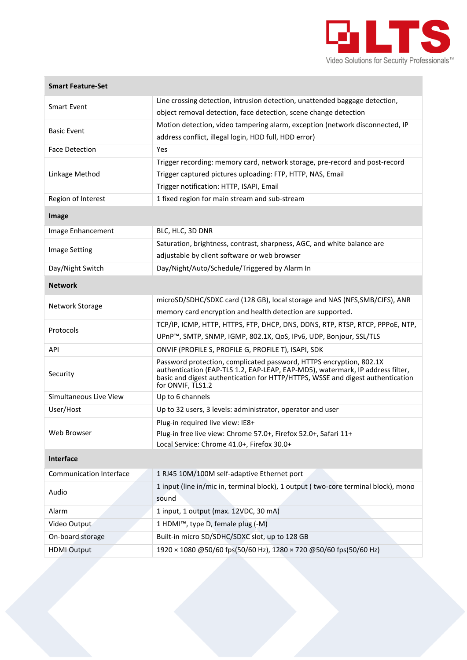

## **Smart Feature-Set**

| <b>Smart Event</b>             | Line crossing detection, intrusion detection, unattended baggage detection,                                                                                                                                                                                  |
|--------------------------------|--------------------------------------------------------------------------------------------------------------------------------------------------------------------------------------------------------------------------------------------------------------|
|                                | object removal detection, face detection, scene change detection                                                                                                                                                                                             |
| Basic Event                    | Motion detection, video tampering alarm, exception (network disconnected, IP                                                                                                                                                                                 |
|                                | address conflict, illegal login, HDD full, HDD error)                                                                                                                                                                                                        |
| <b>Face Detection</b>          | Yes                                                                                                                                                                                                                                                          |
| Linkage Method                 | Trigger recording: memory card, network storage, pre-record and post-record                                                                                                                                                                                  |
|                                | Trigger captured pictures uploading: FTP, HTTP, NAS, Email                                                                                                                                                                                                   |
|                                | Trigger notification: HTTP, ISAPI, Email                                                                                                                                                                                                                     |
| Region of Interest             | 1 fixed region for main stream and sub-stream                                                                                                                                                                                                                |
| Image                          |                                                                                                                                                                                                                                                              |
| Image Enhancement              | BLC, HLC, 3D DNR                                                                                                                                                                                                                                             |
|                                | Saturation, brightness, contrast, sharpness, AGC, and white balance are                                                                                                                                                                                      |
| <b>Image Setting</b>           | adjustable by client software or web browser                                                                                                                                                                                                                 |
| Day/Night Switch               | Day/Night/Auto/Schedule/Triggered by Alarm In                                                                                                                                                                                                                |
| <b>Network</b>                 |                                                                                                                                                                                                                                                              |
| Network Storage                | microSD/SDHC/SDXC card (128 GB), local storage and NAS (NFS, SMB/CIFS), ANR                                                                                                                                                                                  |
|                                | memory card encryption and health detection are supported.                                                                                                                                                                                                   |
|                                | TCP/IP, ICMP, HTTP, HTTPS, FTP, DHCP, DNS, DDNS, RTP, RTSP, RTCP, PPPOE, NTP,                                                                                                                                                                                |
| Protocols                      | UPnP™, SMTP, SNMP, IGMP, 802.1X, QoS, IPv6, UDP, Bonjour, SSL/TLS                                                                                                                                                                                            |
| API                            | ONVIF (PROFILE S, PROFILE G, PROFILE T), ISAPI, SDK                                                                                                                                                                                                          |
| Security                       | Password protection, complicated password, HTTPS encryption, 802.1X<br>authentication (EAP-TLS 1.2, EAP-LEAP, EAP-MD5), watermark, IP address filter,<br>basic and digest authentication for HTTP/HTTPS, WSSE and digest authentication<br>for ONVIF, TLS1.2 |
| Simultaneous Live View         | Up to 6 channels                                                                                                                                                                                                                                             |
| User/Host                      | Up to 32 users, 3 levels: administrator, operator and user                                                                                                                                                                                                   |
|                                | Plug-in required live view: IE8+                                                                                                                                                                                                                             |
| Web Browser                    | Plug-in free live view: Chrome 57.0+, Firefox 52.0+, Safari 11+                                                                                                                                                                                              |
|                                | Local Service: Chrome 41.0+, Firefox 30.0+                                                                                                                                                                                                                   |
| <b>Interface</b>               |                                                                                                                                                                                                                                                              |
| <b>Communication Interface</b> | 1 RJ45 10M/100M self-adaptive Ethernet port                                                                                                                                                                                                                  |
| Audio                          | 1 input (line in/mic in, terminal block), 1 output (two-core terminal block), mono<br>sound                                                                                                                                                                  |
| Alarm                          | 1 input, 1 output (max. 12VDC, 30 mA)                                                                                                                                                                                                                        |
| Video Output                   | 1 HDMI™, type D, female plug (-M)                                                                                                                                                                                                                            |
| On-board storage               | Built-in micro SD/SDHC/SDXC slot, up to 128 GB                                                                                                                                                                                                               |
| <b>HDMI</b> Output             | 1920 × 1080 @50/60 fps(50/60 Hz), 1280 × 720 @50/60 fps(50/60 Hz)                                                                                                                                                                                            |
|                                |                                                                                                                                                                                                                                                              |